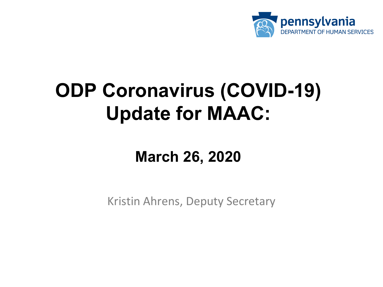

# **ODP Coronavirus (COVID-19) Update for MAAC:**

# **March 26, 2020**

Kristin Ahrens, Deputy Secretary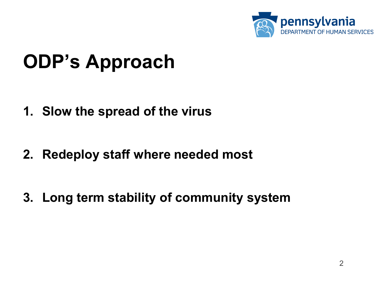

# **ODP's Approach**

- **1. Slow the spread of the virus**
- **2. Redeploy staff where needed most**

**3. Long term stability of community system**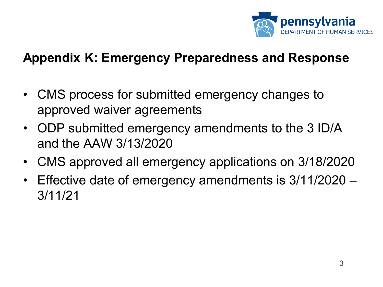

#### **Appendix K: Emergency Preparedness and Response**

- CMS process for submitted emergency changes to approved waiver agreements
- ODP submitted emergency amendments to the 3 ID/A and the AAW 3/13/2020
- CMS approved all emergency applications on 3/18/2020
- Effective date of emergency amendments is 3/11/2020 3/11/21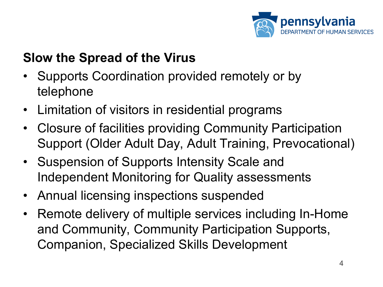

## **Slow the Spread of the Virus**

- Supports Coordination provided remotely or by telephone
- Limitation of visitors in residential programs
- Closure of facilities providing Community Participation Support (Older Adult Day, Adult Training, Prevocational)
- Suspension of Supports Intensity Scale and Independent Monitoring for Quality assessments
- Annual licensing inspections suspended
- Remote delivery of multiple services including In-Home and Community, Community Participation Supports, Companion, Specialized Skills Development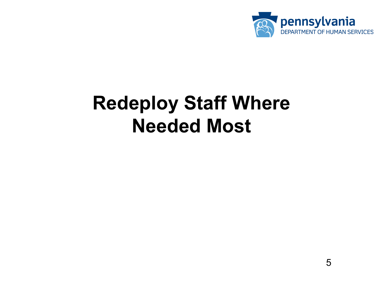

# **Redeploy Staff Where Needed Most**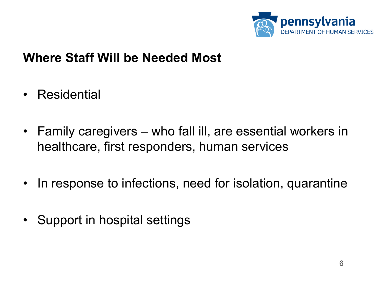

#### **Where Staff Will be Needed Most**

- Residential
- Family caregivers who fall ill, are essential workers in healthcare, first responders, human services
- In response to infections, need for isolation, quarantine
- Support in hospital settings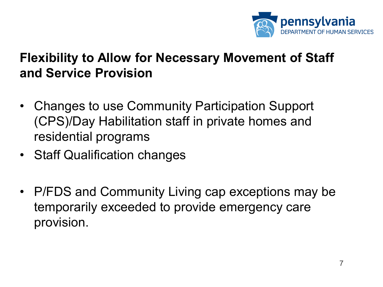

### **Flexibility to Allow for Necessary Movement of Staff and Service Provision**

- Changes to use Community Participation Support (CPS)/Day Habilitation staff in private homes and residential programs
- Staff Qualification changes
- P/FDS and Community Living cap exceptions may be temporarily exceeded to provide emergency care provision.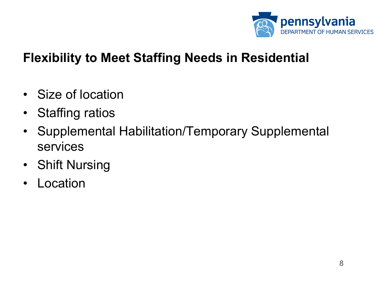

### **Flexibility to Meet Staffing Needs in Residential**

- Size of location
- Staffing ratios
- Supplemental Habilitation/Temporary Supplemental services
- Shift Nursing
- Location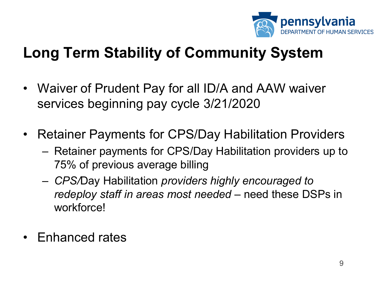

## **Long Term Stability of Community System**

- Waiver of Prudent Pay for all ID/A and AAW waiver services beginning pay cycle 3/21/2020
- Retainer Payments for CPS/Day Habilitation Providers
	- Retainer payments for CPS/Day Habilitation providers up to 75% of previous average billing
	- *CPS/*Day Habilitation *providers highly encouraged to redeploy staff in areas most needed* – need these DSPs in workforce!
- Enhanced rates